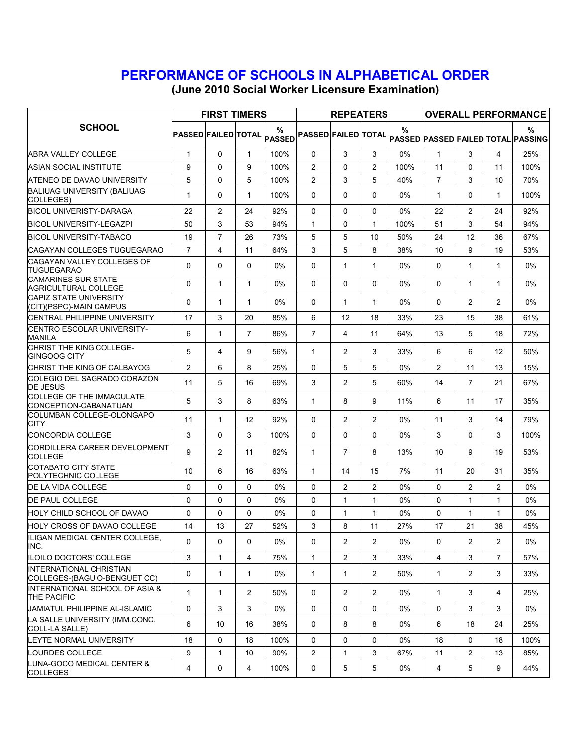## PERFORMANCE OF SCHOOLS IN ALPHABETICAL ORDER

(June 2010 Social Worker Licensure Examination)

| <b>SCHOOL</b>                                                   | <b>FIRST TIMERS</b>                   |                         |                   |       |                            | <b>REPEATERS</b> |                |       | <b>OVERALL PERFORMANCE</b> |                |                |                                                |
|-----------------------------------------------------------------|---------------------------------------|-------------------------|-------------------|-------|----------------------------|------------------|----------------|-------|----------------------------|----------------|----------------|------------------------------------------------|
|                                                                 | PASSED FAILED TOTAL <sub>PASSED</sub> |                         |                   |       | <b>PASSED FAILED TOTAL</b> |                  |                | $\%$  |                            |                |                | %<br><b>PASSED PASSED FAILED TOTAL PASSING</b> |
| ABRA VALLEY COLLEGE                                             | $\mathbf{1}$                          | $\Omega$                | $\mathbf{1}$      | 100%  | $\mathbf{0}$               | 3                | 3              | 0%    | $\mathbf{1}$               | 3              | $\overline{4}$ | 25%                                            |
| ASIAN SOCIAL INSTITUTE                                          | 9                                     | $\Omega$                | 9                 | 100%  | $\overline{2}$             | $\Omega$         | $\overline{2}$ | 100%  | 11                         | 0              | 11             | 100%                                           |
| ATENEO DE DAVAO UNIVERSITY                                      | 5                                     | $\Omega$                | 5                 | 100%  | $\overline{2}$             | 3                | 5              | 40%   | $\overline{7}$             | 3              | 10             | 70%                                            |
| <b>BALIUAG UNIVERSITY (BALIUAG</b><br>COLLEGES)                 | $\mathbf{1}$                          | $\Omega$                | 1                 | 100%  | 0                          | 0                | 0              | 0%    | 1                          | 0              | $\mathbf{1}$   | 100%                                           |
| BICOL UNIVERISTY-DARAGA                                         | 22                                    | 2                       | 24                | 92%   | $\mathbf{0}$               | 0                | 0              | $0\%$ | 22                         | $\overline{2}$ | 24             | 92%                                            |
| BICOL UNIVERSITY-LEGAZPI                                        | 50                                    | 3                       | 53                | 94%   | $\mathbf{1}$               | 0                | $\mathbf{1}$   | 100%  | 51                         | 3              | 54             | 94%                                            |
| <b>BICOL UNIVERSITY-TABACO</b>                                  | 19                                    | $\overline{7}$          | 26                | 73%   | 5                          | 5                | 10             | 50%   | 24                         | 12             | 36             | 67%                                            |
| CAGAYAN COLLEGES TUGUEGARAO                                     | $\overline{7}$                        | $\overline{\mathbf{4}}$ | 11                | 64%   | 3                          | 5                | 8              | 38%   | 10                         | 9              | 19             | 53%                                            |
| CAGAYAN VALLEY COLLEGES OF<br><b>TUGUEGARAO</b>                 | 0                                     | $\Omega$                | $\Omega$          | $0\%$ | 0                          | 1                | $\mathbf{1}$   | $0\%$ | 0                          | $\mathbf{1}$   | $\mathbf{1}$   | $0\%$                                          |
| <b>CAMARINES SUR STATE</b><br>AGRICULTURAL COLLEGE              | $\Omega$                              | $\mathbf{1}$            | $\mathbf{1}$      | $0\%$ | $\mathbf{0}$               | $\Omega$         | $\Omega$       | $0\%$ | $\Omega$                   | $\mathbf{1}$   | $\mathbf{1}$   | 0%                                             |
| <b>CAPIZ STATE UNIVERSITY</b><br>(CIT)(PSPC)-MAIN CAMPUS        | $\Omega$                              | $\mathbf{1}$            | $\mathbf{1}$      | 0%    | $\Omega$                   | 1                | $\mathbf{1}$   | 0%    | $\Omega$                   | $\overline{c}$ | 2              | 0%                                             |
| <b>CENTRAL PHILIPPINE UNIVERSITY</b>                            | 17                                    | 3                       | 20                | 85%   | 6                          | 12               | 18             | 33%   | 23                         | 15             | 38             | 61%                                            |
| CENTRO ESCOLAR UNIVERSITY-<br><b>MANILA</b>                     | 6                                     | 1                       | $\overline{7}$    | 86%   | $\overline{7}$             | 4                | 11             | 64%   | 13                         | 5              | 18             | 72%                                            |
| CHRIST THE KING COLLEGE-<br> GINGOOG CITY                       | 5                                     | 4                       | 9                 | 56%   | $\mathbf{1}$               | $\overline{2}$   | 3              | 33%   | 6                          | 6              | 12             | 50%                                            |
| CHRIST THE KING OF CALBAYOG                                     | $\overline{2}$                        | 6                       | 8                 | 25%   | $\Omega$                   | 5                | 5              | 0%    | $\overline{c}$             | 11             | 13             | 15%                                            |
| COLEGIO DEL SAGRADO CORAZON<br><b>DE JESUS</b>                  | 11                                    | 5                       | 16                | 69%   | 3                          | $\overline{2}$   | 5              | 60%   | 14                         | $\overline{7}$ | 21             | 67%                                            |
| <b>COLLEGE OF THE IMMACULATE</b><br>CONCEPTION-CABANATUAN       | 5                                     | 3                       | 8                 | 63%   | $\mathbf{1}$               | 8                | 9              | 11%   | 6                          | 11             | 17             | 35%                                            |
| COLUMBAN COLLEGE-OLONGAPO<br><b>CITY</b>                        | 11                                    | $\mathbf{1}$            | $12 \overline{ }$ | 92%   | $\Omega$                   | $\overline{2}$   | 2              | $0\%$ | 11                         | 3              | 14             | 79%                                            |
| <b>CONCORDIA COLLEGE</b>                                        | 3                                     | 0                       | 3                 | 100%  | $\Omega$                   | 0                | $\Omega$       | 0%    | 3                          | 0              | 3              | 100%                                           |
| CORDILLERA CAREER DEVELOPMENT<br><b>COLLEGE</b>                 | 9                                     | 2                       | 11                | 82%   | $\mathbf{1}$               | $\overline{7}$   | 8              | 13%   | 10                         | 9              | 19             | 53%                                            |
| COTABATO CITY STATE<br>POLYTECHNIC COLLEGE                      | 10                                    | 6                       | 16                | 63%   | $\mathbf{1}$               | 14               | 15             | 7%    | 11                         | 20             | 31             | 35%                                            |
| <b>DE LA VIDA COLLEGE</b>                                       | 0                                     | $\Omega$                | $\Omega$          | 0%    | 0                          | $\overline{2}$   | 2              | 0%    | 0                          | $\overline{2}$ | 2              | 0%                                             |
| <b>DE PAUL COLLEGE</b>                                          | $\Omega$                              | $\Omega$                | $\Omega$          | 0%    | $\Omega$                   | 1                | $\mathbf{1}$   | 0%    | $\Omega$                   | $\mathbf{1}$   | $\mathbf{1}$   | 0%                                             |
| HOLY CHILD SCHOOL OF DAVAO                                      | 0                                     | $\Omega$                | 0                 | $0\%$ | 0                          | 1                | 1              | 0%    | 0                          | 1              | 1              | 0%                                             |
| HOLY CROSS OF DAVAO COLLEGE                                     | 14                                    | 13                      | 27                | 52%   | 3                          | 8                | 11             | 27%   | 17                         | 21             | 38             | 45%                                            |
| ILIGAN MEDICAL CENTER COLLEGE,<br>INC.                          | $\Omega$                              | $\mathbf{0}$            | 0                 | 0%    | 0                          | $\overline{2}$   | $\overline{2}$ | 0%    | 0                          | $\overline{2}$ | $\overline{2}$ | 0%                                             |
| ILOILO DOCTORS' COLLEGE                                         | 3                                     | $\mathbf{1}$            | 4                 | 75%   | $\mathbf{1}$               | $\overline{2}$   | 3              | 33%   | $\overline{4}$             | 3              | $\overline{7}$ | 57%                                            |
| <b>INTERNATIONAL CHRISTIAN</b><br>COLLEGES-(BAGUIO-BENGUET CC)  | 0                                     | $\mathbf{1}$            | $\mathbf{1}$      | 0%    | $\mathbf{1}$               | 1                | $\overline{2}$ | 50%   | $\mathbf{1}$               | $\overline{2}$ | 3              | 33%                                            |
| <b>INTERNATIONAL SCHOOL OF ASIA &amp;</b><br><b>THE PACIFIC</b> | $\mathbf{1}$                          | $\mathbf{1}$            | $\overline{2}$    | 50%   | 0                          | $\overline{2}$   | $\overline{2}$ | 0%    | $\mathbf{1}$               | 3              | 4              | 25%                                            |
| JAMIATUL PHILIPPINE AL-ISLAMIC                                  | 0                                     | 3                       | 3                 | $0\%$ | 0                          | $\mathbf{0}$     | $\Omega$       | $0\%$ | $\Omega$                   | 3              | 3              | $0\%$                                          |
| LA SALLE UNIVERSITY (IMM.CONC.<br>COLL-LA SALLE)                | 6                                     | 10                      | 16                | 38%   | 0                          | 8                | 8              | $0\%$ | 6                          | 18             | 24             | 25%                                            |
| LEYTE NORMAL UNIVERSITY                                         | 18                                    | 0                       | 18                | 100%  | 0                          | 0                | 0              | 0%    | 18                         | 0              | 18             | 100%                                           |
| LOURDES COLLEGE                                                 | 9                                     | $\mathbf{1}$            | 10                | 90%   | $\overline{2}$             | $\mathbf{1}$     | 3              | 67%   | 11                         | $\overline{2}$ | 13             | 85%                                            |
| LUNA-GOCO MEDICAL CENTER &<br><b>COLLEGES</b>                   | 4                                     | 0                       | 4                 | 100%  | $\mathsf{O}$               | 5                | 5              | $0\%$ | 4                          | 5              | 9              | 44%                                            |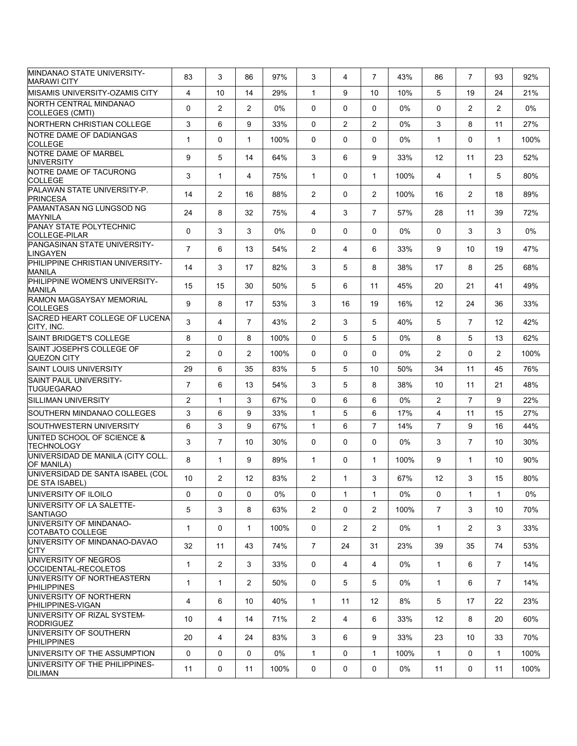| MINDANAO STATE UNIVERSITY-<br><b>MARAWI CITY</b>          | 83             | 3              | 86                    | 97%  | 3              | 4              | $\overline{7}$    | 43%   | 86                | $\overline{7}$ | 93             | 92%   |
|-----------------------------------------------------------|----------------|----------------|-----------------------|------|----------------|----------------|-------------------|-------|-------------------|----------------|----------------|-------|
| <b>MISAMIS UNIVERSITY-OZAMIS CITY</b>                     | 4              | 10             | 14                    | 29%  | $\mathbf{1}$   | 9              | 10                | 10%   | 5                 | 19             | 24             | 21%   |
| NORTH CENTRAL MINDANAO<br>COLLEGES (CMTI)                 | 0              | $\overline{2}$ | $\overline{2}$        | 0%   | $\Omega$       | $\Omega$       | $\Omega$          | 0%    | $\Omega$          | $\overline{2}$ | $\overline{2}$ | $0\%$ |
| NORTHERN CHRISTIAN COLLEGE                                | 3              | 6              | 9                     | 33%  | $\Omega$       | $\overline{2}$ | 2                 | 0%    | 3                 | 8              | 11             | 27%   |
| NOTRE DAME OF DADIANGAS<br><b>COLLEGE</b>                 | $\mathbf{1}$   | $\Omega$       | $\mathbf{1}$          | 100% | $\Omega$       | $\Omega$       | $\Omega$          | 0%    | $\mathbf{1}$      | $\Omega$       | $\mathbf{1}$   | 100%  |
| NOTRE DAME OF MARBEL<br><b>UNIVERSITY</b>                 | 9              | 5              | 14                    | 64%  | 3              | 6              | 9                 | 33%   | 12                | 11             | 23             | 52%   |
| NOTRE DAME OF TACURONG<br><b>COLLEGE</b>                  | 3              | $\mathbf{1}$   | 4                     | 75%  | $\mathbf{1}$   | $\Omega$       | $\mathbf{1}$      | 100%  | 4                 | $\mathbf{1}$   | 5              | 80%   |
| PALAWAN STATE UNIVERSITY-P.<br><b>PRINCESA</b>            | 14             | $\overline{2}$ | 16                    | 88%  | $\overline{2}$ | $\Omega$       | $\overline{2}$    | 100%  | 16                | 2              | 18             | 89%   |
| PAMANTASAN NG LUNGSOD NG<br><b>MAYNILA</b>                | 24             | 8              | 32                    | 75%  | 4              | 3              | $\overline{7}$    | 57%   | 28                | 11             | 39             | 72%   |
| <b>PANAY STATE POLYTECHNIC</b><br><b>COLLEGE-PILAR</b>    | 0              | 3              | 3                     | 0%   | 0              | 0              | 0                 | $0\%$ | $\mathbf{0}$      | 3              | 3              | $0\%$ |
| PANGASINAN STATE UNIVERSITY-<br><b>LINGAYEN</b>           | $\overline{7}$ | 6              | 13                    | 54%  | $\overline{2}$ | 4              | 6                 | 33%   | 9                 | 10             | 19             | 47%   |
| PHILIPPINE CHRISTIAN UNIVERSITY-<br><b>MANILA</b>         | 14             | 3              | 17                    | 82%  | 3              | 5              | 8                 | 38%   | 17                | 8              | 25             | 68%   |
| PHILIPPINE WOMEN'S UNIVERSITY-<br><b>MANILA</b>           | 15             | 15             | 30                    | 50%  | 5              | 6              | 11                | 45%   | 20                | 21             | 41             | 49%   |
| <b>RAMON MAGSAYSAY MEMORIAL</b><br><b>COLLEGES</b>        | 9              | 8              | 17                    | 53%  | 3              | 16             | 19                | 16%   | 12                | 24             | 36             | 33%   |
| SACRED HEART COLLEGE OF LUCENA<br>CITY. INC.              | 3              | 4              | $\overline{7}$        | 43%  | $\overline{2}$ | 3              | 5                 | 40%   | 5                 | $\overline{7}$ | 12             | 42%   |
| <b>SAINT BRIDGET'S COLLEGE</b>                            | 8              | $\Omega$       | 8                     | 100% | $\Omega$       | 5              | 5                 | $0\%$ | 8                 | 5              | 13             | 62%   |
| SAINT JOSEPH'S COLLEGE OF<br>QUEZON CITY                  | $\overline{c}$ | $\Omega$       | $\overline{2}$        | 100% | 0              | $\Omega$       | $\Omega$          | 0%    | $\overline{2}$    | $\Omega$       | $\overline{2}$ | 100%  |
| <b>SAINT LOUIS UNIVERSITY</b>                             | 29             | 6              | 35                    | 83%  | 5              | 5              | 10                | 50%   | 34                | 11             | 45             | 76%   |
| <b>SAINT PAUL UNIVERSITY-</b><br>TUGUEGARAO               | $\overline{7}$ | 6              | 13                    | 54%  | 3              | 5              | 8                 | 38%   | 10                | 11             | 21             | 48%   |
| SILLIMAN UNIVERSITY                                       | $\overline{c}$ | $\mathbf{1}$   | 3                     | 67%  | $\Omega$       | 6              | 6                 | 0%    | $\overline{2}$    | $\overline{7}$ | 9              | 22%   |
| SOUTHERN MINDANAO COLLEGES                                | 3              | 6              | 9                     | 33%  | $\mathbf{1}$   | 5              | 6                 | 17%   | $\overline{4}$    | 11             | 15             | 27%   |
| SOUTHWESTERN UNIVERSITY                                   | 6              | 3              | 9                     | 67%  | $\mathbf{1}$   | 6              | $\overline{7}$    | 14%   | $\overline{7}$    | 9              | 16             | 44%   |
| UNITED SCHOOL OF SCIENCE &<br><b>TECHNOLOGY</b>           | 3              | $\overline{7}$ | 10                    | 30%  | 0              | $\mathbf 0$    | $\Omega$          | 0%    | 3                 | $\overline{7}$ | 10             | 30%   |
| UNIVERSIDAD DE MANILA (CITY COLL.<br>OF MANILA)           | 8              | $\mathbf{1}$   | 9                     | 89%  | $\mathbf{1}$   | $\Omega$       | $\mathbf{1}$      | 100%  | 9                 | $\mathbf{1}$   | 10             | 90%   |
| UNIVERSIDAD DE SANTA ISABEL (COL<br><b>DE STA ISABEL)</b> | 10             | $\overline{2}$ | 12                    | 83%  | $\overline{2}$ | $\mathbf{1}$   | 3                 | 67%   | 12                | 3              | 15             | 80%   |
| UNIVERSITY OF ILOILO                                      | 0              | 0              | 0                     | 0%   | 0              | $\mathbf{1}$   | $\mathbf{1}$      | 0%    | 0                 | $\mathbf{1}$   | $\mathbf{1}$   | 0%    |
| UNIVERSITY OF LA SALETTE-<br><b>SANTIAGO</b>              | 5              | 3              | 8                     | 63%  | $\overline{2}$ | $\Omega$       | $\overline{2}$    | 100%  | $\overline{7}$    | 3              | 10             | 70%   |
| UNIVERSITY OF MINDANAO-<br>COTABATO COLLEGE               | $\mathbf{1}$   | 0              | $\mathbf{1}$          | 100% | 0              | $\overline{2}$ | $\overline{2}$    | 0%    | $\mathbf{1}$      | $\overline{2}$ | 3              | 33%   |
| UNIVERSITY OF MINDANAO-DAVAO<br><b>CITY</b>               | 32             | 11             | 43                    | 74%  | $\overline{7}$ | 24             | 31                | 23%   | 39                | 35             | 74             | 53%   |
| UNIVERSITY OF NEGROS<br>OCCIDENTAL-RECOLETOS              | $\mathbf{1}$   | $\overline{2}$ | 3                     | 33%  | 0              | 4              | 4                 | $0\%$ | $\mathbf{1}$      | 6              | $\overline{7}$ | 14%   |
| UNIVERSITY OF NORTHEASTERN<br><b>PHILIPPINES</b>          | 1              | $\mathbf{1}$   | $\mathbf{2}^{\prime}$ | 50%  | 0              | 5              | 5                 | $0\%$ | $\mathbf{1}$      | 6              | $\overline{7}$ | 14%   |
| UNIVERSITY OF NORTHERN<br>PHILIPPINES-VIGAN               | 4              | 6              | 10                    | 40%  | $\mathbf{1}$   | 11             | $12 \overline{ }$ | 8%    | 5                 | 17             | 22             | 23%   |
| UNIVERSITY OF RIZAL SYSTEM-<br><b>RODRIGUEZ</b>           | 10             | 4              | 14                    | 71%  | $\overline{2}$ | 4              | 6                 | 33%   | $12 \overline{ }$ | 8              | 20             | 60%   |
| UNIVERSITY OF SOUTHERN<br><b>PHILIPPINES</b>              | 20             | 4              | 24                    | 83%  | 3              | 6              | 9                 | 33%   | 23                | 10             | 33             | 70%   |
| UNIVERSITY OF THE ASSUMPTION                              | 0              | 0              | $\Omega$              | 0%   | $\mathbf{1}$   | 0              | $\mathbf{1}$      | 100%  | $\mathbf{1}$      | 0              | $\mathbf{1}$   | 100%  |
| UNIVERSITY OF THE PHILIPPINES-<br><b>DILIMAN</b>          | 11             | 0              | 11                    | 100% | 0              | 0              | 0                 | 0%    | 11                | 0              | 11             | 100%  |